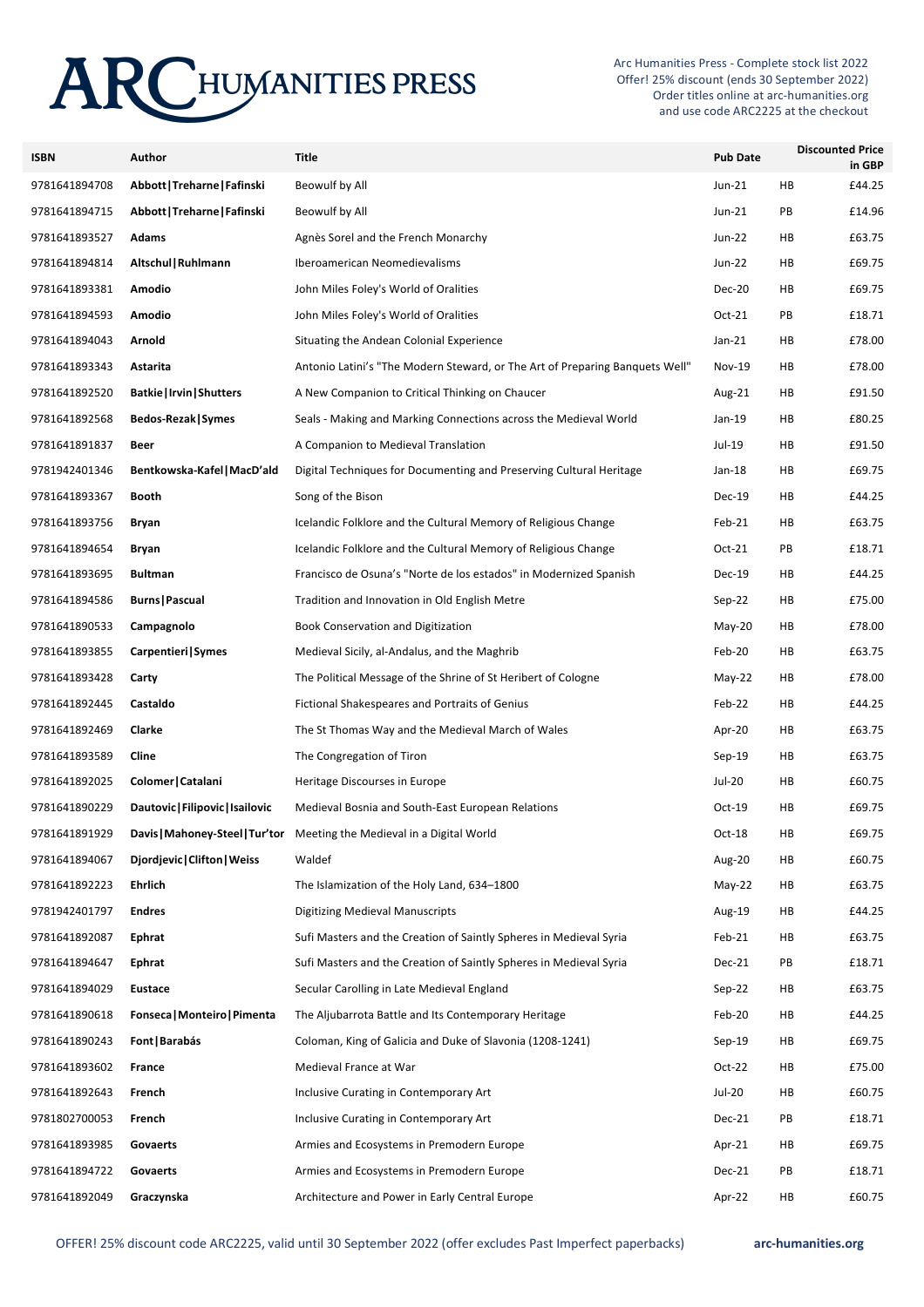# **ARCHUMANITIES PRESS**

Arc Humanities Press - Complete stock list 2022 Offer! 25% discount (ends 30 September 2022) Order titles online at arc-humanities.org and use code ARC2225 at the checkout

| <b>ISBN</b>   | Author                           | <b>Title</b>                                                                 | <b>Pub Date</b> | <b>Discounted Price</b> | in GBP |
|---------------|----------------------------------|------------------------------------------------------------------------------|-----------------|-------------------------|--------|
| 9781641894708 | Abbott   Treharne   Fafinski     | Beowulf by All                                                               | Jun-21          | HB                      | £44.25 |
| 9781641894715 | Abbott   Treharne   Fafinski     | Beowulf by All                                                               | Jun-21          | PB                      | £14.96 |
| 9781641893527 | <b>Adams</b>                     | Agnès Sorel and the French Monarchy                                          | Jun-22          | HB                      | £63.75 |
| 9781641894814 | Altschul   Ruhlmann              | Iberoamerican Neomedievalisms                                                | Jun-22          | HB                      | £69.75 |
| 9781641893381 | Amodio                           | John Miles Foley's World of Oralities                                        | <b>Dec-20</b>   | HB                      | £69.75 |
| 9781641894593 | Amodio                           | John Miles Foley's World of Oralities                                        | Oct-21          | PB                      | £18.71 |
| 9781641894043 | Arnold                           | Situating the Andean Colonial Experience                                     | $Jan-21$        | HB                      | £78.00 |
| 9781641893343 | Astarita                         | Antonio Latini's "The Modern Steward, or The Art of Preparing Banquets Well" | <b>Nov-19</b>   | HB                      | £78.00 |
| 9781641892520 | <b>Batkie   Irvin   Shutters</b> | A New Companion to Critical Thinking on Chaucer                              | Aug-21          | HB                      | £91.50 |
| 9781641892568 | Bedos-Rezak   Symes              | Seals - Making and Marking Connections across the Medieval World             | Jan-19          | HB                      | £80.25 |
| 9781641891837 | Beer                             | A Companion to Medieval Translation                                          | Jul-19          | HB                      | £91.50 |
| 9781942401346 | Bentkowska-Kafel   MacD'ald      | Digital Techniques for Documenting and Preserving Cultural Heritage          | Jan-18          | HB                      | £69.75 |
| 9781641893367 | Booth                            | Song of the Bison                                                            | Dec-19          | HB                      | £44.25 |
| 9781641893756 | Bryan                            | Icelandic Folklore and the Cultural Memory of Religious Change               | Feb-21          | HB                      | £63.75 |
| 9781641894654 | Bryan                            | Icelandic Folklore and the Cultural Memory of Religious Change               | $Oct-21$        | PB                      | £18.71 |
| 9781641893695 | <b>Bultman</b>                   | Francisco de Osuna's "Norte de los estados" in Modernized Spanish            | Dec-19          | HB                      | £44.25 |
| 9781641894586 | <b>Burns   Pascual</b>           | Tradition and Innovation in Old English Metre                                | Sep-22          | HB                      | £75.00 |
| 9781641890533 | Campagnolo                       | Book Conservation and Digitization                                           | $May-20$        | HB                      | £78.00 |
| 9781641893855 | Carpentieri Symes                | Medieval Sicily, al-Andalus, and the Maghrib                                 | Feb-20          | HB                      | £63.75 |
| 9781641893428 | Carty                            | The Political Message of the Shrine of St Heribert of Cologne                | $May-22$        | HB                      | £78.00 |
| 9781641892445 | Castaldo                         | Fictional Shakespeares and Portraits of Genius                               | Feb-22          | HB                      | £44.25 |
| 9781641892469 | Clarke                           | The St Thomas Way and the Medieval March of Wales                            | Apr-20          | HB                      | £63.75 |
| 9781641893589 | Cline                            | The Congregation of Tiron                                                    | $Sep-19$        | HB                      | £63.75 |
| 9781641892025 | Colomer   Catalani               | Heritage Discourses in Europe                                                | Jul-20          | HB                      | £60.75 |
| 9781641890229 | Dautovic   Filipovic   Isailovic | Medieval Bosnia and South-East European Relations                            | Oct-19          | HB                      | £69.75 |
| 9781641891929 | Davis   Mahoney-Steel   Tur'tor  | Meeting the Medieval in a Digital World                                      | Oct-18          | HB                      | £69.75 |
| 9781641894067 | Diordievic   Clifton   Weiss     | Waldef                                                                       | Aug-20          | HB                      | £60.75 |
| 9781641892223 | Ehrlich                          | The Islamization of the Holy Land, 634-1800                                  | $May-22$        | HB                      | £63.75 |
| 9781942401797 | <b>Endres</b>                    | <b>Digitizing Medieval Manuscripts</b>                                       | Aug-19          | HB                      | £44.25 |
| 9781641892087 | Ephrat                           | Sufi Masters and the Creation of Saintly Spheres in Medieval Syria           | Feb-21          | HB                      | £63.75 |
| 9781641894647 | Ephrat                           | Sufi Masters and the Creation of Saintly Spheres in Medieval Syria           | Dec-21          | PB                      | £18.71 |
| 9781641894029 | Eustace                          | Secular Carolling in Late Medieval England                                   | Sep-22          | HB                      | £63.75 |
| 9781641890618 | Fonseca   Monteiro   Pimenta     | The Aljubarrota Battle and Its Contemporary Heritage                         | Feb-20          | HB                      | £44.25 |
| 9781641890243 | Font   Barabás                   | Coloman, King of Galicia and Duke of Slavonia (1208-1241)                    | $Sep-19$        | HB                      | £69.75 |
| 9781641893602 | France                           | Medieval France at War                                                       | $Oct-22$        | HB                      | £75.00 |
| 9781641892643 | French                           | Inclusive Curating in Contemporary Art                                       | Jul-20          | HB                      | £60.75 |
| 9781802700053 | French                           | Inclusive Curating in Contemporary Art                                       | Dec-21          | PB                      | £18.71 |
| 9781641893985 | Govaerts                         | Armies and Ecosystems in Premodern Europe                                    | Apr-21          | HB                      | £69.75 |
| 9781641894722 | Govaerts                         | Armies and Ecosystems in Premodern Europe                                    | Dec-21          | PB                      | £18.71 |
| 9781641892049 | Graczynska                       | Architecture and Power in Early Central Europe                               | Apr-22          | HB                      | £60.75 |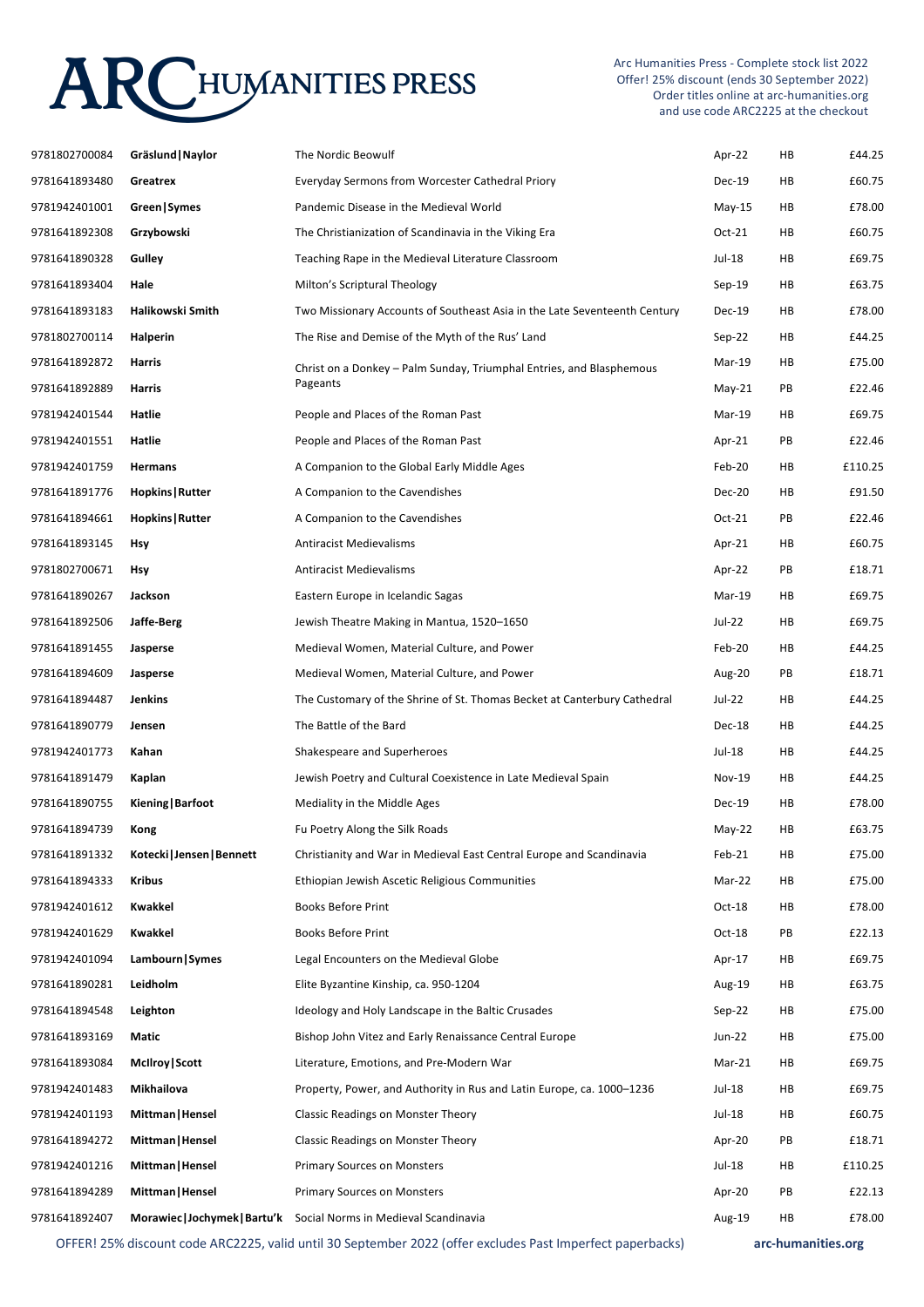# **ARCHUMANITIES PRESS**

Arc Humanities Press - Complete stock list 2022 Offer! 25% discount (ends 30 September 2022) Order titles online at arc-humanities.org and use code ARC2225 at the checkout

| 9781802700084 | Gräslund   Naylor          | The Nordic Beowulf                                                                                         | Apr-22        | HB | £44.25             |
|---------------|----------------------------|------------------------------------------------------------------------------------------------------------|---------------|----|--------------------|
| 9781641893480 | Greatrex                   | Everyday Sermons from Worcester Cathedral Priory                                                           | Dec-19        | HB | £60.75             |
| 9781942401001 | Green Symes                | Pandemic Disease in the Medieval World                                                                     | May-15        | HB | £78.00             |
| 9781641892308 | Grzybowski                 | The Christianization of Scandinavia in the Viking Era                                                      | Oct-21        | HB | £60.75             |
| 9781641890328 | Gulley                     | Teaching Rape in the Medieval Literature Classroom                                                         | Jul-18        | HB | £69.75             |
| 9781641893404 | Hale                       | Milton's Scriptural Theology                                                                               | Sep-19        | HB | £63.75             |
| 9781641893183 | Halikowski Smith           | Two Missionary Accounts of Southeast Asia in the Late Seventeenth Century                                  | Dec-19        | HB | £78.00             |
| 9781802700114 | Halperin                   | The Rise and Demise of the Myth of the Rus' Land                                                           | Sep-22        | HB | £44.25             |
| 9781641892872 | Harris                     | Christ on a Donkey – Palm Sunday, Triumphal Entries, and Blasphemous                                       | Mar-19        | HB | £75.00             |
| 9781641892889 | Harris                     | Pageants                                                                                                   | $May-21$      | PB | £22.46             |
| 9781942401544 | Hatlie                     | People and Places of the Roman Past                                                                        | Mar-19        | HB | £69.75             |
| 9781942401551 | Hatlie                     | People and Places of the Roman Past                                                                        | Apr-21        | PB | £22.46             |
| 9781942401759 | <b>Hermans</b>             | A Companion to the Global Early Middle Ages                                                                | Feb-20        | HB | £110.25            |
| 9781641891776 | Hopkins   Rutter           | A Companion to the Cavendishes                                                                             | Dec-20        | HB | £91.50             |
| 9781641894661 | Hopkins   Rutter           | A Companion to the Cavendishes                                                                             | $Oct-21$      | PB | £22.46             |
| 9781641893145 | <b>Hsy</b>                 | <b>Antiracist Medievalisms</b>                                                                             | Apr-21        | HB | £60.75             |
| 9781802700671 | <b>Hsy</b>                 | <b>Antiracist Medievalisms</b>                                                                             | Apr-22        | PB | £18.71             |
| 9781641890267 | Jackson                    | Eastern Europe in Icelandic Sagas                                                                          | Mar-19        | HB | £69.75             |
| 9781641892506 | Jaffe-Berg                 | Jewish Theatre Making in Mantua, 1520-1650                                                                 | Jul-22        | HB | £69.75             |
| 9781641891455 | Jasperse                   | Medieval Women, Material Culture, and Power                                                                | Feb-20        | HB | £44.25             |
| 9781641894609 | Jasperse                   | Medieval Women, Material Culture, and Power                                                                | Aug-20        | PB | £18.71             |
| 9781641894487 | Jenkins                    | The Customary of the Shrine of St. Thomas Becket at Canterbury Cathedral                                   | Jul-22        | HB | £44.25             |
| 9781641890779 | Jensen                     | The Battle of the Bard                                                                                     | Dec-18        | HB | £44.25             |
| 9781942401773 | Kahan                      | Shakespeare and Superheroes                                                                                | Jul-18        | HB | £44.25             |
| 9781641891479 | Kaplan                     | Jewish Poetry and Cultural Coexistence in Late Medieval Spain                                              | <b>Nov-19</b> | HB | £44.25             |
| 9781641890755 | Kiening   Barfoot          | Mediality in the Middle Ages                                                                               | Dec-19        | HB | £78.00             |
| 9781641894739 | Kong                       | Fu Poetry Along the Silk Roads                                                                             | May-22        | HB | £63.75             |
| 9781641891332 | Kotecki   Jensen   Bennett | Christianity and War in Medieval East Central Europe and Scandinavia                                       | Feb-21        | HB | £75.00             |
| 9781641894333 | Kribus                     | Ethiopian Jewish Ascetic Religious Communities                                                             | Mar-22        | HB | £75.00             |
| 9781942401612 | Kwakkel                    | <b>Books Before Print</b>                                                                                  | Oct-18        | HB | £78.00             |
| 9781942401629 | Kwakkel                    | <b>Books Before Print</b>                                                                                  | Oct-18        | PB | £22.13             |
| 9781942401094 | Lambourn Symes             | Legal Encounters on the Medieval Globe                                                                     | Apr-17        | HB | £69.75             |
| 9781641890281 | Leidholm                   | Elite Byzantine Kinship, ca. 950-1204                                                                      | Aug-19        | HB | £63.75             |
| 9781641894548 | Leighton                   | Ideology and Holy Landscape in the Baltic Crusades                                                         | $Sep-22$      | HB | £75.00             |
| 9781641893169 | Matic                      | Bishop John Vitez and Early Renaissance Central Europe                                                     | Jun-22        | HB | £75.00             |
| 9781641893084 | McIlroy Scott              | Literature, Emotions, and Pre-Modern War                                                                   | Mar-21        | HB | £69.75             |
| 9781942401483 | Mikhailova                 | Property, Power, and Authority in Rus and Latin Europe, ca. 1000-1236                                      | Jul-18        | HB | £69.75             |
| 9781942401193 | Mittman   Hensel           | <b>Classic Readings on Monster Theory</b>                                                                  | Jul-18        | HB | £60.75             |
| 9781641894272 | Mittman   Hensel           | Classic Readings on Monster Theory                                                                         | Apr-20        | PB | £18.71             |
| 9781942401216 | Mittman   Hensel           | <b>Primary Sources on Monsters</b>                                                                         | Jul-18        | HB | £110.25            |
| 9781641894289 | Mittman   Hensel           | <b>Primary Sources on Monsters</b>                                                                         | Apr-20        | PB | £22.13             |
| 9781641892407 |                            | Morawiec   Jochymek   Bartu'k Social Norms in Medieval Scandinavia                                         | Aug-19        | HB | £78.00             |
|               |                            | OFFER! 25% discount code ARC2225, valid until 30 September 2022 (offer excludes Past Imperfect paperbacks) |               |    | arc-humanities.org |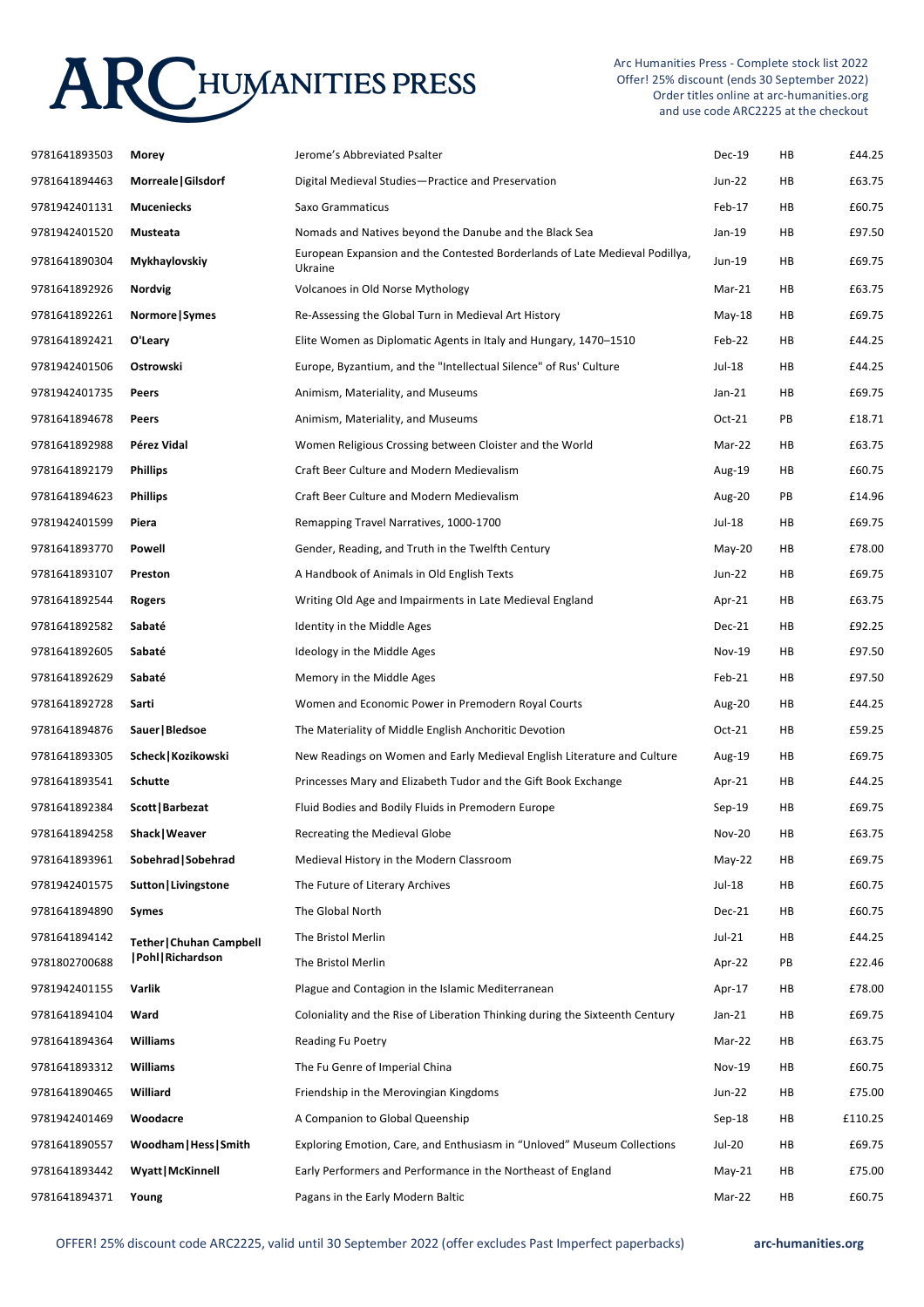## **ARCHUMANITIES PRESS**

Arc Humanities Press - Complete stock list 2022 Offer! 25% discount (ends 30 September 2022) Order titles online at arc-humanities.org and use code ARC2225 at the checkout

| 9781641893503 | Morey                           | Jerome's Abbreviated Psalter                                                           | Dec-19        | HB | £44.25  |
|---------------|---------------------------------|----------------------------------------------------------------------------------------|---------------|----|---------|
| 9781641894463 | Morreale   Gilsdorf             | Digital Medieval Studies-Practice and Preservation                                     | Jun-22        | HB | £63.75  |
| 9781942401131 | <b>Muceniecks</b>               | Saxo Grammaticus                                                                       | Feb-17        | HB | £60.75  |
| 9781942401520 | Musteata                        | Nomads and Natives beyond the Danube and the Black Sea                                 | Jan-19        | HB | £97.50  |
| 9781641890304 | Mykhaylovskiy                   | European Expansion and the Contested Borderlands of Late Medieval Podillya,<br>Ukraine | Jun-19        | HB | £69.75  |
| 9781641892926 | Nordvig                         | Volcanoes in Old Norse Mythology                                                       | Mar-21        | HB | £63.75  |
| 9781641892261 | Normore   Symes                 | Re-Assessing the Global Turn in Medieval Art History                                   | $May-18$      | HB | £69.75  |
| 9781641892421 | O'Leary                         | Elite Women as Diplomatic Agents in Italy and Hungary, 1470–1510                       | Feb-22        | HB | £44.25  |
| 9781942401506 | Ostrowski                       | Europe, Byzantium, and the "Intellectual Silence" of Rus' Culture                      | Jul-18        | HB | £44.25  |
| 9781942401735 | Peers                           | Animism, Materiality, and Museums                                                      | $Jan-21$      | HB | £69.75  |
| 9781641894678 | Peers                           | Animism, Materiality, and Museums                                                      | Oct-21        | PB | £18.71  |
| 9781641892988 | Pérez Vidal                     | Women Religious Crossing between Cloister and the World                                | Mar-22        | HB | £63.75  |
| 9781641892179 | <b>Phillips</b>                 | Craft Beer Culture and Modern Medievalism                                              | Aug-19        | HB | £60.75  |
| 9781641894623 | <b>Phillips</b>                 | Craft Beer Culture and Modern Medievalism                                              | Aug-20        | PB | £14.96  |
| 9781942401599 | Piera                           | Remapping Travel Narratives, 1000-1700                                                 | Jul-18        | HB | £69.75  |
| 9781641893770 | Powell                          | Gender, Reading, and Truth in the Twelfth Century                                      | $May-20$      | HB | £78.00  |
| 9781641893107 | Preston                         | A Handbook of Animals in Old English Texts                                             | Jun-22        | HB | £69.75  |
| 9781641892544 | <b>Rogers</b>                   | Writing Old Age and Impairments in Late Medieval England                               | Apr-21        | HB | £63.75  |
| 9781641892582 | Sabaté                          | Identity in the Middle Ages                                                            | Dec-21        | HB | £92.25  |
| 9781641892605 | Sabaté                          | Ideology in the Middle Ages                                                            | <b>Nov-19</b> | HB | £97.50  |
| 9781641892629 | Sabaté                          | Memory in the Middle Ages                                                              | Feb-21        | HB | £97.50  |
| 9781641892728 | Sarti                           | Women and Economic Power in Premodern Royal Courts                                     | Aug-20        | HB | £44.25  |
| 9781641894876 | Sauer   Bledsoe                 | The Materiality of Middle English Anchoritic Devotion                                  | Oct-21        | HB | £59.25  |
| 9781641893305 | Scheck   Kozikowski             | New Readings on Women and Early Medieval English Literature and Culture                | Aug-19        | HB | £69.75  |
| 9781641893541 | Schutte                         | Princesses Mary and Elizabeth Tudor and the Gift Book Exchange                         | Apr-21        | HB | £44.25  |
| 9781641892384 | Scott   Barbezat                | Fluid Bodies and Bodily Fluids in Premodern Europe                                     | $Sep-19$      | HB | £69.75  |
| 9781641894258 | Shack   Weaver                  | Recreating the Medieval Globe                                                          | <b>Nov-20</b> | HB | £63.75  |
| 9781641893961 | Sobehrad   Sobehrad             | Medieval History in the Modern Classroom                                               | $May-22$      | HB | £69.75  |
| 9781942401575 | Sutton   Livingstone            | The Future of Literary Archives                                                        | Jul-18        | HB | £60.75  |
| 9781641894890 | <b>Symes</b>                    | The Global North                                                                       | Dec-21        | HB | £60.75  |
| 9781641894142 | <b>Tether   Chuhan Campbell</b> | The Bristol Merlin                                                                     | $Jul-21$      | HB | £44.25  |
| 9781802700688 | Pohl   Richardson               | The Bristol Merlin                                                                     | Apr-22        | PB | £22.46  |
| 9781942401155 | Varlik                          | Plague and Contagion in the Islamic Mediterranean                                      | Apr-17        | HB | £78.00  |
| 9781641894104 | Ward                            | Coloniality and the Rise of Liberation Thinking during the Sixteenth Century           | $Jan-21$      | HB | £69.75  |
| 9781641894364 | Williams                        | <b>Reading Fu Poetry</b>                                                               | Mar-22        | HB | £63.75  |
| 9781641893312 | Williams                        | The Fu Genre of Imperial China                                                         | <b>Nov-19</b> | HB | £60.75  |
| 9781641890465 | Williard                        | Friendship in the Merovingian Kingdoms                                                 | Jun-22        | HB | £75.00  |
| 9781942401469 | Woodacre                        | A Companion to Global Queenship                                                        | $Sep-18$      | HB | £110.25 |
| 9781641890557 | Woodham   Hess   Smith          | Exploring Emotion, Care, and Enthusiasm in "Unloved" Museum Collections                | Jul-20        | HB | £69.75  |
| 9781641893442 | <b>Wyatt   McKinnell</b>        | Early Performers and Performance in the Northeast of England                           | $May-21$      | HB | £75.00  |
| 9781641894371 | Young                           | Pagans in the Early Modern Baltic                                                      | Mar-22        | HB | £60.75  |